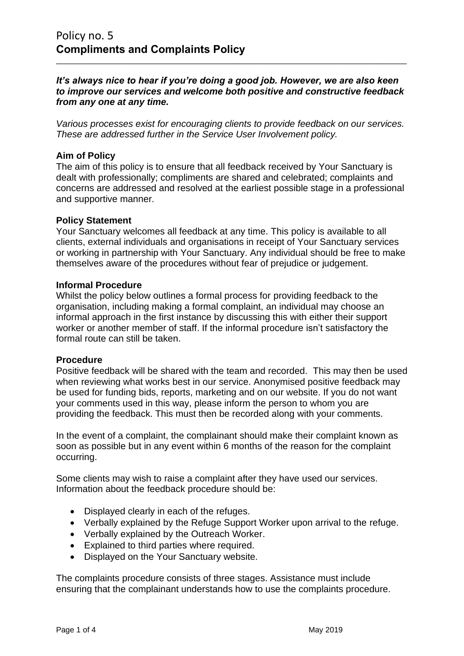## *It's always nice to hear if you're doing a good job. However, we are also keen to improve our services and welcome both positive and constructive feedback from any one at any time.*

\_\_\_\_\_\_\_\_\_\_\_\_\_\_\_\_\_\_\_\_\_\_\_\_\_\_\_\_\_\_\_\_\_\_\_\_\_\_\_\_\_\_\_\_\_\_\_\_\_\_\_\_\_\_\_\_\_\_\_\_\_\_\_\_\_\_\_\_\_\_\_\_\_\_\_\_\_\_\_\_\_

*Various processes exist for encouraging clients to provide feedback on our services. These are addressed further in the Service User Involvement policy.* 

## **Aim of Policy**

The aim of this policy is to ensure that all feedback received by Your Sanctuary is dealt with professionally; compliments are shared and celebrated; complaints and concerns are addressed and resolved at the earliest possible stage in a professional and supportive manner.

### **Policy Statement**

Your Sanctuary welcomes all feedback at any time. This policy is available to all clients, external individuals and organisations in receipt of Your Sanctuary services or working in partnership with Your Sanctuary. Any individual should be free to make themselves aware of the procedures without fear of prejudice or judgement.

#### **Informal Procedure**

Whilst the policy below outlines a formal process for providing feedback to the organisation, including making a formal complaint, an individual may choose an informal approach in the first instance by discussing this with either their support worker or another member of staff. If the informal procedure isn't satisfactory the formal route can still be taken.

#### **Procedure**

Positive feedback will be shared with the team and recorded. This may then be used when reviewing what works best in our service. Anonymised positive feedback may be used for funding bids, reports, marketing and on our website. If you do not want your comments used in this way, please inform the person to whom you are providing the feedback. This must then be recorded along with your comments.

In the event of a complaint, the complainant should make their complaint known as soon as possible but in any event within 6 months of the reason for the complaint occurring.

Some clients may wish to raise a complaint after they have used our services. Information about the feedback procedure should be:

- Displayed clearly in each of the refuges.
- Verbally explained by the Refuge Support Worker upon arrival to the refuge.
- Verbally explained by the Outreach Worker.
- Explained to third parties where required.
- Displayed on the Your Sanctuary website.

The complaints procedure consists of three stages. Assistance must include ensuring that the complainant understands how to use the complaints procedure.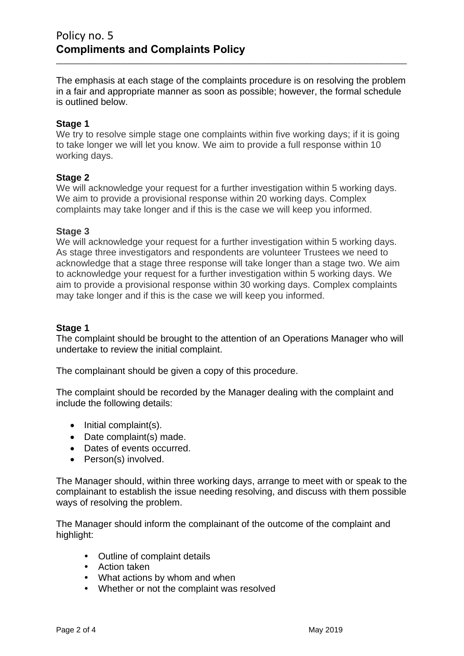The emphasis at each stage of the complaints procedure is on resolving the problem in a fair and appropriate manner as soon as possible; however, the formal schedule is outlined below.

\_\_\_\_\_\_\_\_\_\_\_\_\_\_\_\_\_\_\_\_\_\_\_\_\_\_\_\_\_\_\_\_\_\_\_\_\_\_\_\_\_\_\_\_\_\_\_\_\_\_\_\_\_\_\_\_\_\_\_\_\_\_\_\_\_\_\_\_\_\_\_\_\_\_\_\_\_\_\_\_\_

## **Stage 1**

We try to resolve simple stage one complaints within five working days; if it is going to take longer we will let you know. We aim to provide a full response within 10 working days.

#### **Stage 2**

We will acknowledge your request for a further investigation within 5 working days. We aim to provide a provisional response within 20 working days. Complex complaints may take longer and if this is the case we will keep you informed.

#### **Stage 3**

We will acknowledge your request for a further investigation within 5 working days. As stage three investigators and respondents are volunteer Trustees we need to acknowledge that a stage three response will take longer than a stage two. We aim to acknowledge your request for a further investigation within 5 working days. We aim to provide a provisional response within 30 working days. Complex complaints may take longer and if this is the case we will keep you informed.

## **Stage 1**

The complaint should be brought to the attention of an Operations Manager who will undertake to review the initial complaint.

The complainant should be given a copy of this procedure.

The complaint should be recorded by the Manager dealing with the complaint and include the following details:

- Initial complaint(s).
- Date complaint(s) made.
- Dates of events occurred.
- Person(s) involved.

The Manager should, within three working days, arrange to meet with or speak to the complainant to establish the issue needing resolving, and discuss with them possible ways of resolving the problem.

The Manager should inform the complainant of the outcome of the complaint and highlight:

- Outline of complaint details
- Action taken
- What actions by whom and when
- Whether or not the complaint was resolved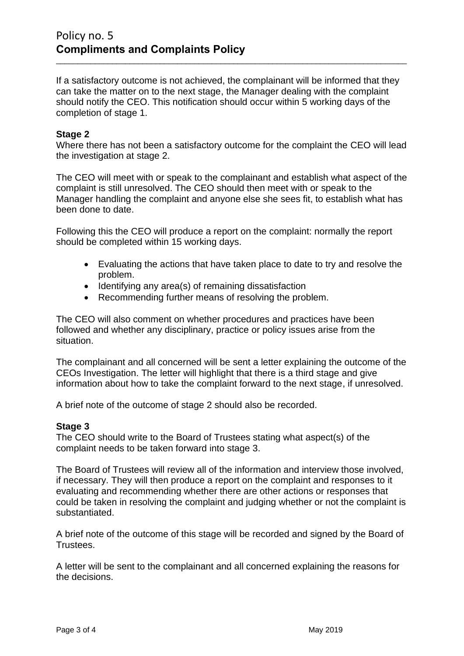If a satisfactory outcome is not achieved, the complainant will be informed that they can take the matter on to the next stage, the Manager dealing with the complaint should notify the CEO. This notification should occur within 5 working days of the completion of stage 1.

\_\_\_\_\_\_\_\_\_\_\_\_\_\_\_\_\_\_\_\_\_\_\_\_\_\_\_\_\_\_\_\_\_\_\_\_\_\_\_\_\_\_\_\_\_\_\_\_\_\_\_\_\_\_\_\_\_\_\_\_\_\_\_\_\_\_\_\_\_\_\_\_\_\_\_\_\_\_\_\_\_

## **Stage 2**

Where there has not been a satisfactory outcome for the complaint the CEO will lead the investigation at stage 2.

The CEO will meet with or speak to the complainant and establish what aspect of the complaint is still unresolved. The CEO should then meet with or speak to the Manager handling the complaint and anyone else she sees fit, to establish what has been done to date.

Following this the CEO will produce a report on the complaint: normally the report should be completed within 15 working days.

- Evaluating the actions that have taken place to date to try and resolve the problem.
- Identifying any area(s) of remaining dissatisfaction
- Recommending further means of resolving the problem.

The CEO will also comment on whether procedures and practices have been followed and whether any disciplinary, practice or policy issues arise from the situation.

The complainant and all concerned will be sent a letter explaining the outcome of the CEOs Investigation. The letter will highlight that there is a third stage and give information about how to take the complaint forward to the next stage, if unresolved.

A brief note of the outcome of stage 2 should also be recorded.

#### **Stage 3**

The CEO should write to the Board of Trustees stating what aspect(s) of the complaint needs to be taken forward into stage 3.

The Board of Trustees will review all of the information and interview those involved, if necessary. They will then produce a report on the complaint and responses to it evaluating and recommending whether there are other actions or responses that could be taken in resolving the complaint and judging whether or not the complaint is substantiated.

A brief note of the outcome of this stage will be recorded and signed by the Board of Trustees.

A letter will be sent to the complainant and all concerned explaining the reasons for the decisions.